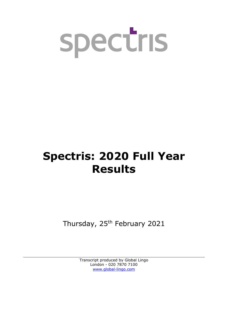

# **Spectris: 2020 Full Year Results**

Thursday, 25<sup>th</sup> February 2021

Transcript produced by Global Lingo London - 020 7870 7100 [www.global-lingo.com](http://www.global-lingo.com/)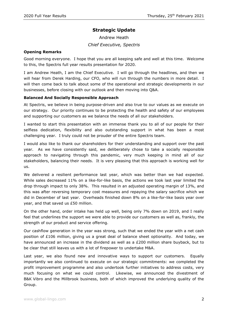# **Strategic Update**

Andrew Heath *Chief Executive, Spectris*

# **Opening Remarks**

Good morning everyone. I hope that you are all keeping safe and well at this time. Welcome to this, the Spectris full year results presentation for 2020.

I am Andrew Heath, I am the Chief Executive. I will go through the headlines, and then we will hear from Derek Harding, our CFO, who will run through the numbers in more detail. I will then come back to talk about some of the operational and strategic developments in our businesses, before closing with our outlook and then moving into Q&A.

# **Balanced And Socially Responsible Approach**

At Spectris, we believe in being purpose-driven and also true to our values as we execute on our strategy. Our priority continues to be protecting the health and safety of our employees and supporting our customers as we balance the needs of all our stakeholders.

I wanted to start this presentation with an immense thank you to all of our people for their selfless dedication, flexibility and also outstanding support in what has been a most challenging year. I truly could not be prouder of the entire Spectris team.

I would also like to thank our shareholders for their understanding and support over the past year. As we have consistently said, we deliberately chose to take a socially responsible approach to navigating through this pandemic, very much keeping in mind all of our stakeholders, balancing their needs. It is very pleasing that this approach is working well for us.

We delivered a resilient performance last year, which was better than we had expected. While sales decreased 11% on a like-for-like basis, the actions we took last year limited the drop through impact to only 38%. This resulted in an adjusted operating margin of 13%, and this was after reversing temporary cost measures and repaying the salary sacrifice which we did in December of last year. Overheads finished down 8% on a like-for-like basis year over year, and that saved us £50 million.

On the other hand, order intake has held up well, being only 7% down on 2019, and I really feel that underlines the support we were able to provide our customers as well as, frankly, the strength of our product and service offering.

Our cashflow generation in the year was strong, such that we ended the year with a net cash position of £106 million, giving us a great deal of balance sheet optionality. And today, we have announced an increase in the dividend as well as a  $E200$  million share buyback, but to be clear that still leaves us with a lot of firepower to undertake M&A.

Last year, we also found new and innovative ways to support our customers. Equally importantly we also continued to execute on our strategic commitments: we completed the profit improvement programme and also undertook further initiatives to address costs, very much focusing on what we could control. Likewise, we announced the divestment of B&K Vibro and the Millbrook business, both of which improved the underlying quality of the Group.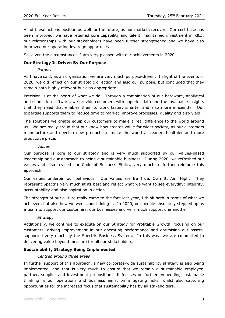All of these actions position us well for the future, as our markets recover. Our cost base has been improved, we have retained core capability and talent, maintained investment in R&D, our relationships with our stakeholders have been further strengthened and we have also improved our operating leverage opportunity.

So, given the circumstances, I am very pleased with our achievements in 2020.

# **Our Strategy Is Driven By Our Purpose**

#### *Purpose*

As I have said, as an organisation we are very much purpose-driven. In light of the events of 2020, we did reflect on our strategic direction and also our purpose, but concluded that they remain both highly relevant but also appropriate.

Precision is at the heart of what we do. Through a combination of our hardware, analytical and simulation software, we provide customers with superior data and the invaluable insights that they need that enables them to work faster, smarter and also more efficiently. Our expertise supports them to reduce time to market, improve processes, quality and also yield.

The solutions we create equip our customers to make a real difference to the world around us. We are really proud that our know-how creates value for wider society, as our customers manufacture and develop new products to make the world a cleaner, healthier and more productive place.

#### *Values*

Our purpose is core to our strategy and is very much supported by our values-based leadership and our approach to being a sustainable business. During 2020, we refreshed our values and also revised our Code of Business Ethics, very much to further reinforce this approach.

Our values underpin our behaviour. Our values are Be True, Own It, Aim High. They represent Spectris very much at its best and reflect what we want to see everyday: integrity, accountability and also aspiration in action.

The strength of our culture really came to the fore last year, I think both in terms of what we achieved, but also how we went about doing it. In 2020, our people absolutely stepped up as a team to support our customers, our businesses and very much support one another.

# *Strategy*

Additionally, we continue to execute on our Strategy for Profitable Growth, focusing on our customers, driving improvement in our operating performance and optimising our assets, supported very much by the Spectris Business System. In this way, we are committed to delivering value beyond measure for all our stakeholders.

# **Sustainability Strategy Being Implemented**

# *Centred around three areas*

In further support of this approach, a new corporate-wide sustainability strategy is also being implemented, and that is very much to ensure that we remain a sustainable employer, partner, supplier and investment proposition. It focuses on further embedding sustainable thinking in our operations and business aims, on mitigating risks, whilst also capturing opportunities for the increased focus that sustainability has by all stakeholders.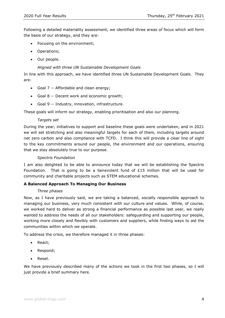Following a detailed materiality assessment, we identified three areas of focus which will form the basis of our strategy, and they are:

- Focusing on the environment;
- Operations;
- Our people.

# *Aligned with three UN Sustainable Development Goals*

In line with this approach, we have identified three UN Sustainable Development Goals. They are:

- Goal 7 − Affordable and clean energy;
- Goal 8 − Decent work and economic growth;
- Goal 9 − Industry, innovation, infrastructure.

These goals will inform our strategy, enabling prioritisation and also our planning.

# *Targets set*

During the year, initiatives to support and baseline these goals were undertaken, and in 2021 we will set stretching and also meaningful targets for each of them, including targets around net zero carbon and also compliance with TCFD. I think this will provide a clear line of sight to the key commitments around our people, the environment and our operations, ensuring that we stay absolutely true to our purpose.

#### *Spectris Foundation*

I am also delighted to be able to announce today that we will be establishing the Spectris Foundation. That is going to be a benevolent fund of £15 million that will be used for community and charitable projects such as STEM educational schemes.

# **A Balanced Approach To Managing Our Business**

#### *Three phases*

Now, as I have previously said, we are taking a balanced, socially responsible approach to managing our business, very much consistent with our culture and values. While, of course, we worked hard to deliver as strong a financial performance as possible last year, we really wanted to address the needs of all our stakeholders: safeguarding and supporting our people, working more closely and flexibly with customers and suppliers, while finding ways to aid the communities within which we operate.

To address the crisis, we therefore managed it in three phases:

- React:
- Respond;
- Reset.

We have previously described many of the actions we took in the first two phases, so I will just provide a brief summary here.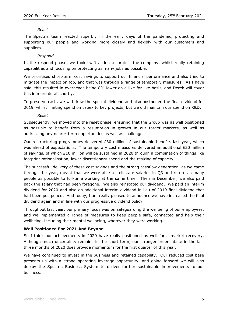#### *React*

The Spectris team reacted superbly in the early days of the pandemic, protecting and supporting our people and working more closely and flexibly with our customers and suppliers.

#### *Respond*

In the respond phase, we took swift action to protect the company, whilst really retaining capabilities and focusing on protecting as many jobs as possible.

We prioritised short-term cost savings to support our financial performance and also tried to mitigate the impact on job, and that was through a range of temporary measures. As I have said, this resulted in overheads being 8% lower on a like-for-like basis, and Derek will cover this in more detail shortly.

To preserve cash, we withdrew the special dividend and also postponed the final dividend for 2019, whilst limiting spend on capex to key projects, but we did maintain our spend on R&D.

#### *Reset*

Subsequently, we moved into the reset phase, ensuring that the Group was as well positioned as possible to benefit from a resumption in growth in our target markets, as well as addressing any nearer-term opportunities as well as challenges.

Our restructuring programmes delivered  $£30$  million of sustainable benefits last year, which was ahead of expectations. The temporary cost measures delivered an additional £20 million of savings, of which £10 million will be sustained in 2020 through a combination of things like footprint rationalisation, lower discretionary spend and the resizing of capacity.

The successful delivery of these cost savings and the strong cashflow generation, as we came through the year, meant that we were able to reinstate salaries in Q3 and return as many people as possible to full-time working at the same time. Then in December, we also paid back the salary that had been foregone. We also reinstated our dividend. We paid an interim dividend for 2020 and also an additional interim dividend in lieu of 2019 final dividend that had been postponed. And today, I am really pleased to announce we have increased the final dividend again and in line with our progressive dividend policy.

Throughout last year, our primary focus was on safeguarding the wellbeing of our employees, and we implemented a range of measures to keep people safe, connected and help their wellbeing, including their mental wellbeing, wherever they were working.

#### **Well Positioned For 2021 And Beyond**

So I think our achievements in 2020 have really positioned us well for a market recovery. Although much uncertainty remains in the short term, our stronger order intake in the last three months of 2020 does provide momentum for the first quarter of this year.

We have continued to invest in the business and retained capability. Our reduced cost base presents us with a strong operating leverage opportunity, and going forward we will also deploy the Spectris Business System to deliver further sustainable improvements to our business.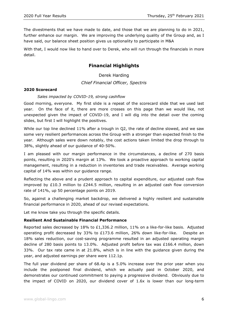The divestments that we have made to date, and those that we are planning to do in 2021, further enhance our margin. We are improving the underlying quality of the Group and, as I have said, our balance sheet position gives us optionality to participate in M&A

With that, I would now like to hand over to Derek, who will run through the financials in more detail.

# **Financial Highlights**

Derek Harding

*Chief Financial Officer, Spectris*

# **2020 Scorecard**

# *Sales impacted by COVID-19, strong cashflow*

Good morning, everyone. My first slide is a repeat of the scorecard slide that we used last year. On the face of it, there are more crosses on this page than we would like, not unexpected given the impact of COVID-19, and I will dig into the detail over the coming slides, but first I will highlight the positives.

While our top line declined 11% after a trough in Q2, the rate of decline slowed, and we saw some very resilient performances across the Group with a stronger than expected finish to the year. Although sales were down notably, the cost actions taken limited the drop through to 38%, slightly ahead of our guidance of 40-50%.

I am pleased with our margin performance in the circumstances, a decline of 270 basis points, resulting in 2020's margin at 13%. We took a proactive approach to working capital management, resulting in a reduction in inventories and trade receivables. Average working capital of 14% was within our guidance range.

Reflecting the above and a prudent approach to capital expenditure, our adjusted cash flow improved by £10.3 million to £244.5 million, resulting in an adjusted cash flow conversion rate of 141%, up 50 percentage points on 2019.

So, against a challenging market backdrop, we delivered a highly resilient and sustainable financial performance in 2020, ahead of our revised expectations.

Let me know take you through the specific details.

#### **Resilient And Sustainable Financial Performance**

Reported sales decreased by 18% to £1,336.2 million, 11% on a like-for-like basis. Adjusted operating profit decreased by 33% to £173.6 million, 26% down like-for-like. Despite an 18% sales reduction, our cost-saving programme resulted in an adjusted operating margin decline of 280 basis points to 13.0%. Adjusted profit before tax was £166.4 million, down 33%. Our tax rate came in at 21.8%, which is in line with the guidance given during the year, and adjusted earnings per share were 112.1p.

The full year dividend per share of 68.4p is a 5.0% increase over the prior year when you include the postponed final dividend, which we actually paid in October 2020, and demonstrates our continued commitment to paying a progressive dividend. Obviously due to the impact of COVID on 2020, our dividend cover of 1.6x is lower than our long-term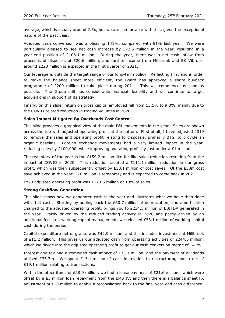average, which is usually around 2.5x, but we are comfortable with this, given the exceptional nature of the past year.

Adjusted cash conversion was a pleasing 141%, compared with 91% last year. We were particularly pleased to see net cash increase by  $E72.6$  million in the year, resulting in a year-end position of  $£106.1$  million. During the year, there was a net cash inflow from proceeds of disposals of £20.6 million, and further income from Millbrook and BK Vibro of around £220 million is expected in the first quarter of 2021.

Our leverage is outside the target range of our long-term policy. Reflecting this, and in order to make the balance sheet more efficient, the Board has approved a share buyback programme of £200 million to take place during 2021. This will commence as soon as possible. The Group still has considerable financial flexibility and will continue to target acquisitions in support of its strategy.

Finally, on this slide, return on gross capital employed fell from 13.5% to 9.8%, mainly due to the COVID-related reduction in trading volumes in 2020.

# **Sales Impact Mitigated By Overheads Cost Control**

This slide provides a graphical view of the main P&L movements in the year. Sales are shown across the top with adjusted operating profit at the bottom. First of all, I have adjusted 2019 to remove the sales and operating profit relating to disposals, primarily BTG, to provide an organic baseline. Foreign exchange movements had a very limited impact in the year, reducing sales by £100,000, while improving operating profit by just under a £1 million.

The real story of the year is the  $£159.2$  million like-for-like sales reduction resulting from the impact of COVID in 2020. This reduction created a  $£111.1$  million reduction in our gross profit, which was then subsequently offset by £50.1 million of cost saves. Of the £50m cost save achieved in the year, £10 million is temporary and is expected to come back in 2021.

FY20 adjusted operating profit was £173.6 million or 13% of sales.

# **Strong Cashflow Generation**

This slide shows how we generated cash in the year and illustrates what we have then done with that cash. Starting by adding back the £60.7 million of depreciation, and amortisation charged to the adjusted operating profit, brings you to £234.3 million of EBITDA generated in the year. Partly driven by the reduced trading activity in 2020 and partly driven by an additional focus on working capital management, we released £53.1 million of working capital cash during the period.

Capital expenditure net of grants was £42.9 million, and this includes investment at Millbrook of £11.2 million. This gives us our adjusted cash from operating activities of £244.5 million, which we divide into the adjusted operating profit to get our cash conversion metric of 141%.

Interest and tax had a combined cash impact of £33.1 million, and the payment of dividends utilised £75.7m. We spent £15.1 million of cash in relation to restructuring and a net of £19.1 million relating to transactions.

Within the other items of £28.9 million, we had a lease payment of £21.6 million, which were offset by a  $E3$  million loan repayment from the EMS JV, and then there is a balance sheet FX adjustment of £10 million to enable a reconciliation back to the final year-end cash difference.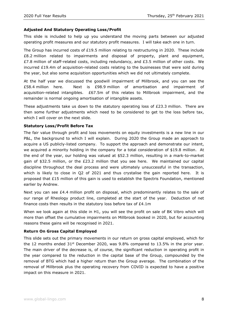# **Adjusted And Statutory Operating Loss/Profit**

This slide is included to help up you understand the moving parts between our adjusted operating profit measures and our statutory profit measures. I will take each one in turn.

The Group has incurred costs of £19.5 million relating to restructuring in 2020. These include £8.2 million related to impairments and disposal of property, plant and equipment, £7.8 million of staff-related costs, including redundancy, and £3.5 million of other costs. We incurred £19.4m of acquisition-related costs relating to the businesses that were sold during the year, but also some acquisition opportunities which we did not ultimately complete.

At the half year we discussed the goodwill impairment of Millbrook, and you can see the £58.4 million here. Next is £98.9 million of amortisation and impairment of acquisition-related intangibles. £67.5m of this relates to Millbrook impairment, and the remainder is normal ongoing amortisation of intangible assets.

These adjustments take us down to the statutory operating loss of  $E23.3$  million. There are then some further adjustments which need to be considered to get to the loss before tax, which I will cover on the next slide.

#### **Statutory Loss/Profit Before Tax**

The fair value through profit and loss movements on equity investments is a new line in our P&L, the background to which I will explain. During 2020 the Group made an approach to acquire a US publicly-listed company. To support the approach and demonstrate our intent, we acquired a minority holding in the company for a total consideration of \$19.8 million. At the end of the year, our holding was valued at \$52.3 million, resulting in a mark-to-market gain of \$32.5 million, or the £23.2 million that you see here. We maintained our capital discipline throughout the deal process and were ultimately unsuccessful in the transaction, which is likely to close in Q2 of 2021 and thus crystalise the gain reported here. It is proposed that £15 million of this gain is used to establish the Spectris Foundation, mentioned earlier by Andrew.

Next you can see  $E4.4$  million profit on disposal, which predominantly relates to the sale of our range of Rheology product line, completed at the start of the year. Deduction of net finance costs then results in the statutory loss before tax of £4.1m

When we look again at this slide in H1, you will see the profit on sale of BK Vibro which will more than offset the cumulative impairments on Millbrook booked in 2020, but for accounting reasons these gains will be recognised in 2021.

#### **Return On Gross Capital Employed**

This slide sets out the primary movements in our return on gross capital employed, which for the 12 months ended  $31<sup>st</sup>$  December 2020, was 9.8% compared to 13.5% in the prior year. The main driver of the decrease is, of course, the significant reduction in operating profit in the year compared to the reduction in the capital base of the Group, compounded by the removal of BTG which had a higher return than the Group average. The combination of the removal of Millbrook plus the operating recovery from COVID is expected to have a positive impact on this measure in 2021.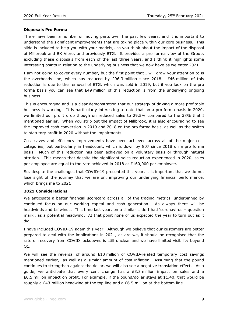# **Disposals Pro Forma**

There have been a number of moving parts over the past few years, and it is important to understand the significant improvements that are taking place within our core business. This slide is included to help you with your models,, as you think about the impact of the disposal of Millbrook and BK Vibro, and previously BTG. It provides a pro forma view of the Group, excluding these disposals from each of the last three years, and I think it highlights some interesting points in relation to the underlying business that we now have as we enter 2021.

I am not going to cover every number, but the first point that I will draw your attention to is the overheads line, which has reduced by £96.3 million since 2018. £46 million of this reduction is due to the removal of BTG, which was sold in 2019, but if you look on the pro forma basis you can see that  $E$ 49 million of this reduction is from the underlying ongoing business.

This is encouraging and is a clear demonstration that our strategy of driving a more profitable business is working. It is particularly interesting to note that on a pro forma basis in 2020, we limited our profit drop though on reduced sales to 29.5% compared to the 38% that I mentioned earlier. When you strip out the impact of Millbrook, it is also encouraging to see the improved cash conversion in 2019 and 2018 on the pro forma basis, as well as the switch to statutory profit in 2020 without the impairments.

Cost saves and efficiency improvements have been achieved across all of the major cost categories, but particularly in headcount, which is down by 807 since 2018 on a pro forma basis. Much of this reduction has been achieved on a voluntary basis or through natural attrition. This means that despite the significant sales reduction experienced in 2020, sales per employee are equal to the rate achieved in 2018 at £160,000 per employee.

So, despite the challenges that COVID-19 presented this year, it is important that we do not lose sight of the journey that we are on, improving our underlying financial performance, which brings me to 2021

#### **2021 Considerations**

We anticipate a better financial scorecard across all of the trading metrics, underpinned by continued focus on our working capital and cash generation. As always there will be headwinds and tailwinds. This time last year, on a similar slide I had 'coronavirus – question mark', as a potential headwind. At that point none of us expected the year to turn out as it did.

I have included COVID-19 again this year. Although we believe that our customers are better prepared to deal with the implications in 2021, as are we, it should be recognised that the rate of recovery from COVID lockdowns is still unclear and we have limited visibility beyond Q1.

We will see the reversal of around £10 million of COVID-related temporary cost savings mentioned earlier, as well as a similar amount of cost inflation. Assuming that the pound continues to strengthen against the dollar, we will also see a negative translation effect. As a guide, we anticipate that every cent change has a £3.3 million impact on sales and a £0.5 million impact on profit. For example, if the pound/dollar stays at \$1.40, that would be roughly a £43 million headwind at the top line and a £6.5 million at the bottom line.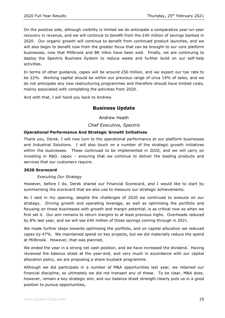On the positive side, although visibility is limited we do anticipate a comparative year-on-year recovery in revenue, and we will continue to benefit from the £40 million of savings banked in 2020. Our organic growth will continue to benefit from continued product launches, and we will also begin to benefit now from the greater focus that can be brought to our core platform businesses, now that Millbrook and BK Vibro have been sold. Finally, we are continuing to deploy the Spectris Business System to reduce waste and further build on our self-help activities.

In terms of other guidance, capex will be around £50 million, and we expect our tax rate to be 22%. Working capital should be within our previous range of circa 14% of sales, and we do not anticipate any new restructuring programmes and therefore should have limited costs, mainly associated with completing the activities from 2020.

And with that, I will hand you back to Andrew.

# **Business Update**

Andrew Heath

# *Chief Executive, Spectris*

# **Operational Performance And Strategic Growth Initiatives**

Thank you, Derek. I will now turn to the operational performance at our platform businesses and Industrial Solutions. I will also touch on a number of the strategic growth initiatives within the businesses. These continued to be implemented in 2020, and we will carry on investing in R&D, capex – ensuring that we continue to deliver the leading products and services that our customers require.

# **2020 Scorecard**

# *Executing Our Strategy*

However, before I do, Derek shared our Financial Scorecard, and I would like to start by summarising the scorecard that we also use to measure our strategic achievements.

As I said in my opening, despite the challenges of 2020 we continued to execute on our strategy. Driving growth and operating leverage, as well as optimising the portfolio and focusing on those businesses with growth and margin potential, is as critical now as when we first set it. Our aim remains to return margins to at least previous highs. Overheads reduced by 8% last year, and we will see  $£40$  million of those savings coming through in 2021.

We made further steps towards optimising the portfolio, and on capital allocation we reduced capex by 47%. We maintained spend on key projects, but we did materially reduce the spend at Millbrook. However, that was planned,

We ended the year in a strong net cash position, and we have increased the dividend. Having reviewed the balance sheet at the year-end, and very much in accordance with our capital allocation policy, we are proposing a share buyback programme.

Although we did participate in a number of M&A opportunities last year, we retained our financial discipline, so ultimately we did not transact any of these. To be clear, M&A does, however, remain a key strategic aim, and our balance sheet strength clearly puts us in a good position to pursue opportunities,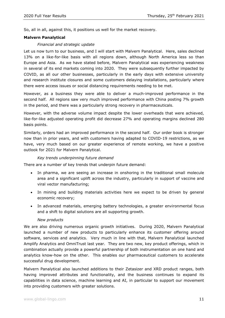So, all in all, against this, it positions us well for the market recovery.

# **Malvern Panalytical**

# *Financial and strategic update*

Let us now turn to our business, and I will start with Malvern Panalytical. Here, sales declined 13% on a like-for-like basis with all regions down, although North America less so than Europe and Asia. As we have stated before, Malvern Panalytical was experiencing weakness in several of its end markets coming into 2020. They were subsequently further impacted by COVID, as all our other businesses, particularly in the early days with extensive university and research institute closures and some customers delaying installations, particularly where there were access issues or social distancing requirements needing to be met.

However, as a business they were able to deliver a much-improved performance in the second half. All regions saw very much improved performance with China posting 7% growth in the period, and there was a particularly strong recovery in pharmaceuticals.

However, with the adverse volume impact despite the lower overheads that were achieved, like-for-like adjusted operating profit did decrease 27% and operating margins declined 280 basis points.

Similarly, orders had an improved performance in the second half. Our order book is stronger now than in prior years, and with customers having adapted to COVID-19 restrictions, as we have, very much based on our greater experience of remote working, we have a positive outlook for 2021 for Malvern Panalytical.

# *Key trends underpinning future demand*

There are a number of key trends that underpin future demand:

- In pharma, we are seeing an increase in onshoring in the traditional small molecule area and a significant uplift across the industry, particularly in support of vaccine and viral vector manufacturing;
- In mining and building materials activities here we expect to be driven by general economic recovery;
- In advanced materials, emerging battery technologies, a greater environmental focus and a shift to digital solutions are all supporting growth.

#### *New products*

We are also driving numerous organic growth initiatives. During 2020, Malvern Panalytical launched a number of new products to particularly enhance its customer offering around software, services and analytics. Very much in line with that, Malvern Panalytical launched Amplify Analytics and OmniTrust last year. They are two new, key product offerings, which in combination actually provide a powerful partnership of both instrumentation on one hand and analytics know-how on the other. This enables our pharmaceutical customers to accelerate successful drug development.

Malvern Panalytical also launched additions to their Zetasizer and XRD product ranges, both having improved attributes and functionality, and the business continues to expand its capabilities in data science, machine learning and AI, in particular to support our movement into providing customers with greater solutions.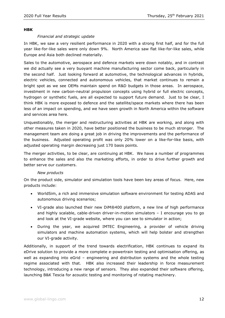#### **HBK**

#### *Financial and strategic update*

In HBK, we saw a very resilient performance in 2020 with a strong first half, and for the full year like-for-like sales were only down 9%. North America saw flat like-for-like sales, while Europe and Asia both declined materially.

Sales to the automotive, aerospace and defence markets were down notably, and in contrast we did actually see a very buoyant machine manufacturing sector come back, particularly in the second half. Just looking forward at automotive, the technological advances in hybrids, electric vehicles, connected and autonomous vehicles, that market continues to remain a bright spot as we see OEMs maintain spend on R&D budgets in those areas. In aerospace, investment in new carbon-neutral propulsion concepts using hybrid or full electric concepts, hydrogen or synthetic fuels, are all expected to support future demand. Just to be clear, I think HBK is more exposed to defence and the satellite/space markets where there has been less of an impact on spending, and we have seen growth in North America within the software and services area here.

Unquestionably, the merger and restructuring activities at HBK are working, and along with other measures taken in 2020, have better positioned the business to be much stronger. The management team are doing a great job in driving the improvements and the performance of the business. Adjusted operating profit was only 20% lower on a like-for-like basis, with adjusted operating margin decreasing just 170 basis points.

The merger activities, to be clear, are continuing at HBK. We have a number of programmes to enhance the sales and also the marketing efforts, in order to drive further growth and better serve our customers.

#### *New products*

On the product side, simulator and simulation tools have been key areas of focus. Here, new products include:

- WorldSim, a rich and immersive simulation software environment for testing ADAS and autonomous driving scenarios;
- VI-grade also launched their new DiM®400 platform, a new line of high performance and highly scalable, cable-driven driver-in-motion simulators – I encourage you to go and look at the VI-grade website, where you can see to simulator in action;
- During the year, we acquired IMTEC Engineering, a provider of vehicle driving simulators and machine automation systems, which will help bolster and strengthen our VI-grade activity.

Additionally, in support of the trend towards electrification, HBK continues to expand its eDrive solution to provide a more complete e-powertrain testing and optimisation offering, as well as expanding into eGrid – engineering and distribution systems and the whole testing regime associated with that. HBK also increased their leadership in force measurement technology, introducing a new range of sensors. They also expanded their software offering, launching B&K Tescia for acoustic testing and monitoring of rotating machinery.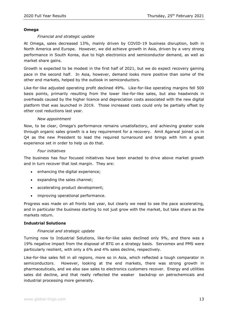#### **Omega**

#### *Financial and strategic update*

At Omega, sales decreased 13%, mainly driven by COVID-19 business disruption, both in North America and Europe. However, we did achieve growth in Asia, driven by a very strong performance in South Korea, due to high electronics and semiconductor demand, as well as market share gains.

Growth is expected to be modest in the first half of 2021, but we do expect recovery gaining pace in the second half. In Asia, however, demand looks more positive than some of the other end markets, helped by the outlook in semiconductors.

Like-for-like adjusted operating profit declined 49%. Like-for-like operating margins fell 500 basis points, primarily resulting from the lower like-for-like sales, but also headwinds in overheads caused by the higher licence and depreciation costs associated with the new digital platform that was launched in 2019. Those increased costs could only be partially offset by other cost reductions last year.

#### *New appointment*

Now, to be clear, Omega's performance remains unsatisfactory, and achieving greater scale through organic sales growth is a key requirement for a recovery. Amit Agarwal joined us in Q4 as the new President to lead the required turnaround and brings with him a great experience set in order to help us do that.

#### *Four initiatives*

The business has four focused initiatives have been enacted to drive above market growth and in turn recover that lost margin. They are:

- enhancing the digital experience;
- expanding the sales channel;
- accelerating product development;
- improving operational performance.

Progress was made on all fronts last year, but clearly we need to see the pace accelerating, and in particular the business starting to not just grow with the market, but take share as the markets return.

# **Industrial Solutions**

# *Financial and strategic update*

Turning now to Industrial Solutions, like-for-like sales declined only 9%, and there was a 19% negative impact from the disposal of BTG on a strategy basis. Servomex and PMS were particularly resilient, with only a 6% and 4% sales decline, respectively.

Like-for-like sales fell in all regions, more so in Asia, which reflected a tough comparator in semiconductors. However, looking at the end markets, there was strong growth in pharmaceuticals, and we also saw sales to electronics customers recover. Energy and utilities sales did decline, and that really reflected the weaker backdrop on petrochemicals and industrial processing more generally.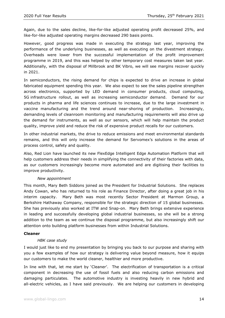Again, due to the sales decline, like-for-like adjusted operating profit decreased 25%, and like-for-like adjusted operating margins decreased 290 basis points.

However, good progress was made in executing the strategy last year, improving the performance of the underlying businesses, as well as executing on the divestment strategy. Overheads were lower from the successful implementation of the profit improvement programme in 2019, and this was helped by other temporary cost measures taken last year. Additionally, with the disposal of Millbrook and BK Vibro, we will see margins recover quickly in 2021.

In semiconductors, the rising demand for chips is expected to drive an increase in global fabricated equipment spending this year. We also expect to see the sales pipeline strengthen across electronics, supported by LED demand in consumer products, cloud computing, 5G infrastructure rollout, as well as increasing semiconductor demand. Demand for our products in pharma and life sciences continues to increase, due to the large investment in vaccine manufacturing and the trend around near-shoring of production. Increasingly, demanding levels of cleanroom monitoring and manufacturing requirements will also drive up the demand for instruments, as well as our sensors, which will help maintain the product quality, improve yield and reduce the risk of expensive product recalls for our customers.

In other industrial markets, the drive to reduce emissions and meet environmental standards remains, and this will only increase the demand for Servomex's solutions in the areas of process control, safety and quality.

Also, Red Lion have launched its new FlexEdge Intelligent Edge Automation Platform that will help customers address their needs in simplifying the connectivity of their factories with data, as our customers increasingly become more automated and are digitising their facilities to improve productivity.

#### *New appointment*

This month, Mary Beth Siddons joined as the President for Industrial Solutions. She replaces Andy Cowan, who has returned to his role as Finance Director, after doing a great job in his interim capacity. Mary Beth was most recently Sector President at Marmon Group, a Berkshire Hathaway Company, responsible for the strategic direction of 15 global businesses. She has previously also worked at ITW and Snap-on. Mary Beth brings extensive experience in leading and successfully developing global industrial businesses, so she will be a strong addition to the team as we continue the disposal programme, but also increasingly shift our attention onto building platform businesses from within Industrial Solutions.

#### **Cleaner**

#### *HBK case study*

I would just like to end my presentation by bringing you back to our purpose and sharing with you a few examples of how our strategy is delivering value beyond measure, how it equips our customers to make the world cleaner, healthier and more productive.

In line with that, let me start by 'Cleaner'. The electrification of transportation is a critical component in decreasing the use of fossil fuels and also reducing carbon emissions and damaging particulates. The automotive industry is investing heavily in new hybrid and all-electric vehicles, as I have said previously. We are helping our customers in developing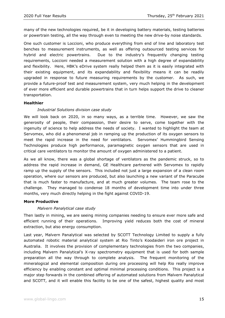many of the new technologies required, be it in developing battery materials, testing batteries or powertrain testing, all the way through even to meeting the new drive-by noise standards.

One such customer is Loccioni, who produce everything from end of line and laboratory test benches to measurement instruments, as well as offering outsourced testing services for hybrid and electric powertrains. Due to the industry's frequently changing testing requirements, Loccioni needed a measurement solution with a high degree of expandability and flexibility. Here, HBK's eDrive system really helped them as it is easily integrated with their existing equipment, and its expandability and flexibility means it can be readily upgraded in response to future measuring requirements by the customer. As such, we provide a future-proof test and measurement system, very much helping in the development of ever more efficient and durable powertrains that in turn helps support the drive to cleaner transportation.

# **Healthier**

# *Industrial Solutions division case study*

We will look back on 2020, in so many ways, as a terrible time. However, we saw the generosity of people, their compassion, their desire to serve, come together with the ingenuity of science to help address the needs of society. I wanted to highlight the team at Servomex, who did a phenomenal job in ramping up the production of its oxygen sensors to meet the rapid increase in the need for ventilators. Servomex' Hummingbird Sensing Technologies produce high performance, paramagnetic oxygen sensors that are used in critical care ventilators to monitor the amount of oxygen administered to a patient.

As we all know, there was a global shortage of ventilators as the pandemic struck, so to address the rapid increase in demand, GE Healthcare partnered with Servomex to rapidly ramp up the supply of the sensors. This included not just a large expansion of a clean room operation, where our sensors are produced, but also launching a new variant of the Paracube that is much faster to manufacture, and at much greater volumes. The team rose to the challenge. They managed to condense 18 months of development time into under three months, very much directly helping in the fight against COVID-19.

#### **More Productive**

#### *Malvern Panalytical case study*

Then lastly in mining, we are seeing mining companies needing to ensure ever more safe and efficient running of their operations. Improving yield reduces both the cost of mineral extraction, but also energy consumption.

Last year, Malvern Panalytical was selected by SCOTT Technology Limited to supply a fully automated robotic material analytical system at Rio Tinto's Koodaideri iron ore project in Australia. It involves the provision of complementary technologies from the two companies, including Malvern Panalytical's X-ray spectrometry equipment that is used for both sample preparation all the way through to complete analysis. The frequent monitoring of the mineralogical and elemental composition during ore processing will help Rio really improve efficiency by enabling constant and optimal minimal processing conditions. This project is a major step forwards in the combined offering of automated solutions from Malvern Panalytical and SCOTT, and it will enable this facility to be one of the safest, highest quality and most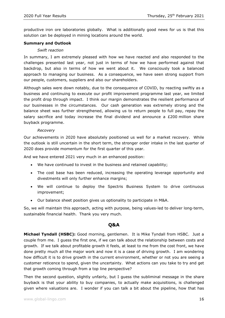productive iron ore laboratories globally. What is additionally good news for us is that this solution can be deployed in mining locations around the world.

# **Summary and Outlook**

# *Swift reaction*

In summary, I am extremely pleased with how we have reacted and also responded to the challenges presented last year, not just in terms of how we have performed against that backdrop, but also in terms of how we went about it. We consciously took a balanced approach to managing our business. As a consequence, we have seen strong support from our people, customers, suppliers and also our shareholders.

Although sales were down notably, due to the consequence of COVID, by reacting swiftly as a business and continuing to execute our profit improvement programme last year, we limited the profit drop through impact. I think our margin demonstrates the resilient performance of our businesses in the circumstances. Our cash generation was extremely strong and the balance sheet was further strengthened, allowing us to return people to full pay, repay the salary sacrifice and today increase the final dividend and announce a  $E200$  million share buyback programme.

# *Recovery*

Our achievements in 2020 have absolutely positioned us well for a market recovery. While the outlook is still uncertain in the short term, the stronger order intake in the last quarter of 2020 does provide momentum for the first quarter of this year.

And we have entered 2021 very much in an enhanced position:

- We have continued to invest in the business and retained capability;
- The cost base has been reduced, increasing the operating leverage opportunity and divestments will only further enhance margins;
- We will continue to deploy the Spectris Business System to drive continuous improvement;
- Our balance sheet position gives us optionality to participate in M&A.

So, we will maintain this approach, acting with purpose, being values-led to deliver long-term, sustainable financial health. Thank you very much.

# **Q&A**

**Michael Tyndall (HSBC):** Good morning, gentlemen. It is Mike Tyndall from HSBC. Just a couple from me. I guess the first one, if we can talk about the relationship between costs and growth. If we talk about profitable growth it feels, at least to me from the cost front, we have done pretty much all the major work and now it is a case of driving growth. I am wondering how difficult it is to drive growth in the current environment, whether or not you are seeing a customer reticence to spend, given the uncertainty. What actions can you take to try and get that growth coming through from a top line perspective?

Then the second question, slightly unfairly, but I guess the subliminal message in the share buyback is that your ability to buy companies, to actually make acquisitions, is challenged given where valuations are. I wonder if you can talk a bit about the pipeline, how that has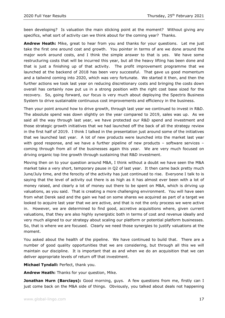been developing? Is valuation the main sticking point at the moment? Without giving any specifics, what sort of activity can we think about for the coming year? Thanks.

**Andrew Heath:** Mike, great to hear from you and thanks for your questions. Let me just take the first one around cost and growth. You pointer in terms of are we done around the major work around costs, and I think the simple answer to that is yes. We have some restructuring costs that will be incurred this year, but all the heavy lifting has been done and that is just a finishing up of that activity. The profit improvement programme that we launched at the backend of 2018 has been very successful. That gave us good momentum and a tailwind coming into 2020, which was very fortunate. We started it then, and then the further actions we took last year on reducing discretionary costs and bringing the costs down overall has certainly now put us in a strong position with the right cost base sized for the recovery. So, going forward, our focus is very much about deploying the Spectris Business System to drive sustainable continuous cost improvements and efficiency in the business.

Then your point around how to drive growth, through last year we continued to invest in R&D. The absolute spend was down slightly on the year compared to 2019, sales was up. As we said all the way through last year, we have protected our R&D spend and investment and those strategic growth initiatives that we had launched off the back of all the strategy review in the first half of 2019. I think I talked in the presentation just around some of the initiatives that we launched last year. A lot of new products were launched into the market last year with good response, and we have a further pipeline of new products - software services coming through from all of the businesses again this year. We are very much focused on driving organic top line growth through sustaining that R&D investment.

Moving then on to your question around M&A, I think without a doubt we have seen the M&A market take a very short, temporary pause in Q2 of last year. It then came back pretty much June/July time, and the ferocity of the activity has just continued to rise. Everyone I talk to is saying that the level of activity out there is as high as it has almost ever been with a lot of money raised, and clearly a lot of money out there to be spent on M&A, which is driving up valuations, as you said. That is creating a more challenging environment. You will have seen from what Derek said and the gain we had on some shares we acquired as part of a target we looked to acquire last year that we are active, and that is not the only process we were active in. However, we are determined to find good, accretive acquisitions where, given current valuations, that they are also highly synergistic both in terms of cost and revenue ideally and very much aligned to our strategy about scaling our platform or potential platform businesses. So, that is where we are focused. Clearly we need those synergies to justify valuations at the moment.

You asked about the health of the pipeline. We have continued to build that. There are a number of good quality opportunities that we are considering, but through all this we will maintain our discipline. It is important that as and when we do an acquisition that we can deliver appropriate levels of return off that investment.

**Michael Tyndall:** Perfect, thank you.

**Andrew Heath:** Thanks for your question, Mike.

**Jonathan Hurn (Barclays):** Good morning, guys. A few questions from me, firstly can I just come back on the M&A side of things. Obviously, you talked about deals not happening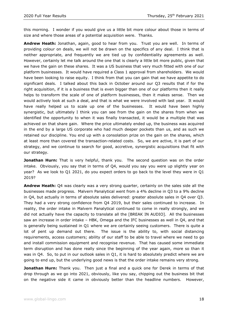this morning. I wonder if you would give us a little bit more colour about those in terms of size and where those areas of a potential acquisition were. Thanks.

**Andrew Heath:** Jonathan, again, good to hear from you. Trust you are well. In terms of providing colour on deals, we will not be drawn on the specifics of any deal. I think that is neither appropriate, and frequently we are tied up by confidentiality agreements as well. However, certainly let me talk around the one that is clearly a little bit more public, given that we have the gain on these shares. It was a US business that very much fitted with one of our platform businesses. It would have required a Class 1 approval from shareholders. We would have been looking to raise equity. I think from that you can gain that we have appetite to do significant deals. I talked about this back in October around our Q3 results that if for the right acquisition, if it is a business that is even bigger than one of our platforms then it really helps to transform the scale of one of platform businesses, then it makes sense. Then we would actively look at such a deal, and that is what we were involved with last year. It would have really helped us to scale up one of the businesses. It would have been highly synergistic, but ultimately I think you can see from the gain on the shares from when we identified the opportunity to when it was finally transacted, it would be a multiple that was achieved on that share gain. Where the price ultimately ended up, the business was acquired in the end by a large US corporate who had much deeper pockets than us, and as such we retained our discipline. You end up with a consolation prize on the gain on the shares, which at least more than covered the transaction-related costs. So, we are active, it is part of our strategy, and we continue to search for good, accretive, synergistic acquisitions that fit with our strategy.

**Jonathan Hurn:** That is very helpful, thank you. The second question was on the order intake. Obviously, you say that in terms of Q4, would you say you were up slightly year on year? As we look to Q1 2021, do you expect orders to go back to the level they were in Q1 2019?

**Andrew Heath:** Q4 was clearly was a very strong quarter, certainly on the sales side all the businesses made progress. Malvern Panalytical went from a 4% decline in Q3 to a 9% decline in Q4, but actually in terms of absolute sales delivered: greater absolute sales in Q4 over Q3. They had a very strong confidence from Q4 2019, but their sales continued to increase. In reality, the order intake in Malvern Panalytical continued to come in really strongly, and we did not actually have the capacity to translate all the [BREAK IN AUDIO]. All the businesses saw an increase in order intake – HBK, Omega and the IFC businesses as well in Q4, and that is generally being sustained in Q1 where we are certainly seeing customers. There is quite a lot of pent up demand out there. The issue is the ability to, with social distancing requirements, access customers; ability of our staff to be able to travel where we need to go and install commission equipment and recognise revenue. That has caused some immediate term disruption and has done really since the beginning of the year again, more so than it was in Q4. So, to put in our outlook sales in Q1, it is hard to absolutely predict where we are going to end up, but the underlying good news is that the order intake remains very strong.

**Jonathan Hurn:** Thank you. Then just a final and a quick one for Derek in terms of that drop through as we go into 2021, obviously, like you say, chipping out the business bit that on the negative side it came in obviously better than the headline numbers. However,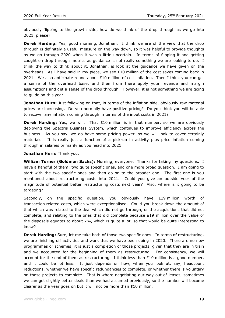obviously flipping to the growth side, how do we think of the drop through as we go into 2021, please?

**Derek Harding:** Yes, good morning, Jonathan. I think we are of the view that the drop through is definitely a useful measure on the way down, so it was helpful to provide thoughts as we go through 2020 when it was a little uncertain. In terms of flipping it and getting caught on drop through metrics as guidance is not really something we are looking to do. I think the way to think about it, Jonathan, is look at the guidance we have given on the overheads. As I have said in my piece, we see £10 million of the cost saves coming back in 2021. We also anticipate round about  $£10$  million of cost inflation. Then I think you can get a sense of the overhead base, and then from there apply your revenue and margin assumptions and get a sense of the drop through. However, it is not something we are going to guide on this year.

**Jonathan Hurn:** Just following on that, in terms of the inflation side, obviously raw material prices are increasing. Do you normally have positive pricing? Do you think you will be able to recover any inflation coming through in terms of the input costs in 2021?

**Derek Harding:** Yes, we will. That £10 million is in that number, so we are obviously deploying the Spectris Business System, which continues to improve efficiency across the business. As you say, we do have some pricing power, so we will look to cover certainly materials. It is really just a function of a pick-up in activity plus price inflation coming through in salaries primarily as you head into 2021.

**Jonathan Hurn:** Thank you.

**William Turner (Goldman Sachs):** Morning, everyone. Thanks for taking my questions. I have a handful of them: two quite specific ones, and one more broad question. I am going to start with the two specific ones and then go on to the broader one. The first one is you mentioned about restructuring costs into 2021. Could you give an outside veer of the magnitude of potential better restructuring costs next year? Also, where is it going to be targeting?

Secondly, on the specific question, you obviously have £19 million worth of transaction related costs, which were exceptionalised. Could you break down the amount of that which was related to the deal which did not go through, or the acquisitions that did not complete, and relating to the ones that did complete because £19 million over the value of the disposals equates to about 7%, which is quite a lot, so that would be quite interesting to know?

**Derek Harding:** Sure, let me take both of those two specific ones. In terms of restructuring, we are finishing off activities and work that we have been doing in 2020. There are no new programmes or schemes; it is just a completion of those projects, given that they are in train and we accounted for the beginning of them as restructuring. For consistency, we will account for the end of them as restructuring. I think less than £10 million is a good number, and it could be lot less. It just depends on how, when you look at, say, headcount reductions, whether we have specific redundancies to complete, or whether there is voluntary on those projects to complete. That is where negotiating our way out of leases, sometimes we can get slightly better deals than we had assumed previously, so the number will become clearer as the year goes on but it will not be more than \$10 million.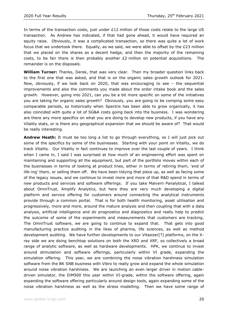In terms of the transaction costs, just under  $£12$  million of those costs relate to the large US transaction. As Andrew has indicated, if that had gone ahead, it would have required an equity raise. Obviously, it was a complicated transaction, so there was quite a lot of work focus that we undertook there. Equally, as we said, we were able to offset by the £23 million that we placed on the shares as a decent hedge, and then the majority of the remaining costs, to be fair there is then probably another  $E2$  million on potential acquisitions. The remainder is on the disposals.

**William Turner:** Thanks, Derek, that was very clear. Then my broader question links back to the first one that was asked, and that is on the organic sales growth outlook for 2021. Now, obviously, if we look back on 2020, that was encouraging to see – the sequential improvements and also the comments you made about the order intake book and the sales growth. However, going into 2021, can you be a bit more specific on some of the initiatives you are taking for organic sales growth? Obviously, you are going to be comping some easy comparable periods, so historically when Spectris has been able to grow organically, it has also coincided with quite a lot of SG&A costs going back into the business. I was wondering are there any more specifics on what you are doing to develop new products, if you have any Vitality stats, or is there any geographical expansion that we should be aware of? That would be really interesting.

**Andrew Heath:** It must be too long a list to go through everything, so I will just pick out some of the specifics by some of the businesses. Starting with your point on Vitality, we do track Vitality. Our Vitality in fact continues to improve over the last couple of years. I think when I came in, I said I was surprised at how much of an engineering effort was spent on maintaining and supporting all the equipment, but part of the portfolio moves within each of the businesses in terms of looking at product lines, either in terms of retiring them, 'end of life-ing' them, or selling them off. We have been tidying that piece up, as well as facing some of the legacy issues, and we continue to invest more and more of that R&D spend in terms of new products and services and software offerings. If you take Malvern Panalytical, I talked about OmniTrust, Amplify Analytics, but here they are very much developing a digital platform and service offering for customers around connecting the analytical instruments provide through a common portal. That is for both health monitoring, asset utilisation and progressively, more and more, around the mature analysis and then coupling that with a data analysis, artificial intelligence and do prognostics and diagnostics and really help to predict the outcome of some of the experiments and measurements that customers are tracking. The OmniTrust software, we are going to continue to expand that. That gets into good manufacturing practice auditing in the likes of pharma, life sciences, as well as method development auditing. We have further developments to our Vitasizer[?] platforms, on the Xray side we are doing benchtop solutions on both the XRD and XRF, so collectively a broad range of analytic software, as well as hardware developments. HPK, we continue to invest around stimulation and software offerings, particularly within VI grade, expanding the simulation offering. This year, we are combining the noise vibration harshness simulation software from the BK SNB business with Vibro to really grow and expand the whole simulation around noise vibration harshness. We are launching an even larger driver in motion cabledriven simulator, the DiM500 this year within VI-grade, within the software offering, again expanding the software offering particularly around design tools, again expanding some of the noise vibration harshness as well as the stress modelling. Then we have some range of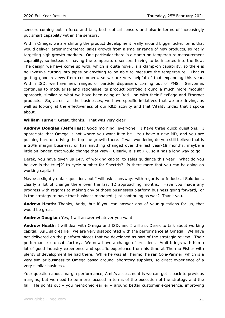sensors coming out in force and talk, both optical sensors and also in terms of increasingly put smart capability within the sensors.

Within Omega, we are shifting the product development really around bigger ticket items that would deliver larger incremental sales growth from a smaller range of new products, so really targeting high growth markets. One particular there is a clamp-on temperature measurement capability, so instead of having the temperature sensors having to be inserted into the flow. The design we have come up with, which is quite novel, is a clamp-on capability, so there is no invasive cutting into pipes or anything to be able to measure the temperature. That is getting good reviews from customers, so we are very helpful of that expanding this year. Within ISD, we have new ranges of particle dispensers coming out of PMS. Servomex continues to modularise and rationalise its product portfolio around a much more modular approach, similar to what we have been doing at Red Lion with their FlexEdge and Ethernet products. So, across all the businesses, we have specific initiatives that we are driving, as well as looking at the effectiveness of our R&D activity and that Vitality Index that I spoke about.

**William Turner:** Great, thanks. That was very clear.

**Andrew Douglas (Jefferies):** Good morning, everyone. I have three quick questions. I appreciate that Omega is not where you want it to be. You have a new MD, and you are pushing hard on driving the top line growth there. I was wondering do you still believe that is a 20% margin business, or has anything changed over the last year/18 months, maybe a little bit longer, that would change that view? Clearly, it is at 7%, so it has a long way to go.

Derek, you have given us 14% of working capital to sales guidance this year. What do you believe is the true[?] to cycle number for Spectris? Is there more that you can be doing on working capital?

Maybe a slightly unfair question, but I will ask it anyway: with regards to Industrial Solutions, clearly a lot of change there over the last 12 approaching months. Have you made any progress with regards to making any of those businesses platform business going forward, or is the strategy to have that business managed, just continuing as was? Thank you.

**Andrew Heath:** Thanks, Andy, but if you can answer any of your questions for us, that would be great.

**Andrew Douglas:** Yes, I will answer whatever you want.

**Andrew Heath:** I will deal with Omega and ISD, and I will ask Derek to talk about working capital. As I said earlier, we are very disappointed with the performance at Omega. We have not delivered on the platform pieces that we developed as part of the strategic review. Their performance is unsatisfactory. We now have a change of president. Amit brings with him a lot of good industry experience and specific experience from his time at Thermo Fisher with plenty of development he had there. While he was at Thermo, he ran Cole-Parmer, which is a very similar business to Omega based around laboratory supplies, so direct experience of a very similar business.

Your question about margin performance, Amit's assessment is we can get it back to previous margins, but we need to be more focused in terms of the execution of the strategy and the fall. He points out – you mentioned earlier – around better customer experience, improving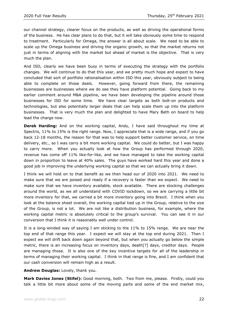our channel strategy, clearer focus on the products, as well as driving the operational forms of the business. He has clear plans to do that, but it will take obviously some time to respond to treatment. Particularly for Omega, the answer is all about scale. We need to be able to scale up the Omega business and driving the organic growth, so that the market returns not just in terms of aligning with the market but ahead of market is the objective. That is very much the plan.

And ISD, clearly we have been busy in terms of executing the strategy with the portfolio changes. We will continue to do that this year, and we pretty much hope and expect to have concluded that sort of portfolio rationalisation within ISD this year, obviously subject to being able to complete on those deals. However, going forward from there, the remaining businesses are businesses where we do see they have platform potential. Going back to my earlier comment around M&A pipeline, we have been developing the pipeline around those businesses for ISD for some time. We have clear targets as both bolt-on products and technologies, but also potentially larger deals that can help scale them up into the platform businesses. That is very much the plan and delighted to have Mary Beth on board to help lead the charge now.

**Derek Harding:** And on the working capital, Andy, I have said throughout my time at Spectris, 11% to 15% is the right range. Now, I appreciate that is a wide range, and if you go back 12-18 months, the reason for that was to help support better customer service, on time delivery, etc., so I was carry a bit more working capital. We could do better, but I was happy to carry more. When you actually look at how the Group has performed through 2020, revenue has come off 11% like-for-like, and we have managed to take the working capital down in proportion to leave at 40% sales. The guys have worked hard this year and done a good job in improving the underlying working capital so that we can actually bring it down.

I think we will hold on to that benefit as we then head our of 2020 into 2021. We need to make sure that we are poised and ready if a recovery is faster than we expect. We need to make sure that we have inventory available, stock available. There are stocking challenges around the world, as we all understand with COVID lockdown, so we are carrying a little bit more inventory for that, we carried a bit more inventory going into Brexit. I think when you look at the balance sheet overall, the working capital tied up in the Group, relative to the size of the Group, is not a lot. We are not like a distribution business, for example, where the working capital metric is absolutely critical to the group's survival. You can see it in our conversion that I think it is reasonably well under control.

It is a long-winded way of saying I am sticking to the 11% to 15% range. We are near the top end of that range this year. I expect we will stay at the top end during 2021. Then I expect we will drift back down again beyond that, but when you actually go below the simple metric, there is an increasing focus on inventory days, death[?] days, creditor days. People are managing those. It is also one of the key incentive targets for all of the leadership in terms of managing their working capital. I think in that range is fine, and I am confident that our cash conversion will remain high as a result.

**Andrew Douglas:** Lovely, thank you.

**Mark Davies Jones (Stifel):** Good morning, both. Two from me, please. Firstly, could you talk a little bit more about some of the moving parts and some of the end market mix,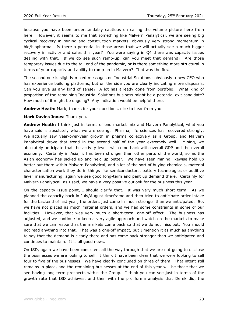because you have been understandably cautious on calling the volume picture here from here. However, it seems to me that something like Malvern Panalytical, we are seeing big cyclical recovery in mining and construction markets, obviously very strong momentum in bio/biopharma. Is there a potential in those areas that we will actually see a much bigger recovery in activity and sales this year? You were saying in Q4 there was capacity issues dealing with that. If we do see such ramp-up, can you meet that demand? Are those temporary issues due to the tail end of the pandemic, or is there something more structural in terms of your capacity and ability to ramp up in Malvern? That was the first.

The second one is slightly mixed messages on Industrial Solutions: obviously a new CEO who has experience building platforms, but on the side you are clearly indicating more disposals. Can you give us any kind of sense? A lot has already gone from portfolio. What kind of proportion of the remaining Industrial Solutions business might be a potential exit candidate? How much of it might be ongoing? Any indication would be helpful there.

**Andrew Heath:** Mark, thanks for your questions, nice to hear from you.

**Mark Davies Jones:** Thank you.

**Andrew Heath:** I think just in terms of end market mix and Malvern Panalytical, what you have said is absolutely what we are seeing. Pharma, life sciences has recovered strongly. We actually saw year-over-year growth in pharma collectively as a Group, and Malvern Panalytical drove that trend in the second half of the year extremely well. Mining, we absolutely anticipate that the activity levels will come back with overall GDP and the overall economy. Certainly in Asia, it has been stronger than other parts of the world, so as the Asian economy has picked up and held up better. We have seen mining likewise hold up better out there within Malvern Panalytical, and a lot of the sort of buying chemicals, material characterisation work they do in things like semiconductors, battery technologies or additive layer manufacturing, again we see good long-term and pent up demand there. Certainly for Malvern Panalytical, as I said, we have a very positive outlook for the business this year.

On the capacity issue point, I should clarify that. It was very much short term. As we planned the capacity back in July/August timeframe and then tried to anticipate order intake for the backend of last year, the orders just came in much stronger than we anticipated. So, we have not placed as much material orders, and we had some constraints in some of our facilities. However, that was very much a short-term, one-off effect. The business has adjusted, and we continue to keep a very agile approach and watch on the markets to make sure that we can respond as the markets come back so that we do not miss out. You should not read anything into that. That was a one-off impact, but I mention it as much as anything to say that the demand is clearly there and has come back stronger than we anticipated and continues to maintain. It is all good news.

On ISD, again we have been consistent all the way through that we are not going to disclose the businesses we are looking to sell. I think I have been clear that we were looking to sell four to five of the businesses. We have clearly concluded on three of them. That intent still remains in place, and the remaining businesses at the end of this year will be those that we see having long-term prospects within the Group. I think you can see just in terms of the growth rate that ISD achieves, and then with the pro forma analysis that Derek did, the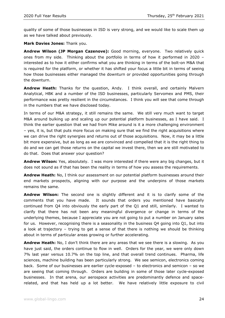quality of some of those businesses in ISD is very strong, and we would like to scale them up as we have talked about previously.

**Mark Davies Jones:** Thank you.

**Andrew Wilson (JP Morgan Cazenove):** Good morning, everyone. Two relatively quick ones from my side. Thinking about the portfolio in terms of how it performed in 2020 – interested as to how it either confirms what you are thinking in terms of the bolt-on M&A that is required for the platform, or whether it has shifted your focus a little bit in terms of seeing how those businesses either managed the downturn or provided opportunities going through the downturn.

**Andrew Heath:** Thanks for the question, Andy. I think overall, and certainly Malvern Analytical, HBK and a number of the ISD businesses, particularly Servomex and PMS, their performance was pretty resilient in the circumstances. I think you will see that come through in the numbers that we have disclosed today.

In terms of our M&A strategy, it still remains the same. We still very much want to target M&A around bulking up and scaling up our potential platform businesses, as I have said. I think the earlier question that we had from Mike around is it a more challenging environment – yes, it is, but that puts more focus on making sure that we find the right acquisitions where we can drive the right synergies and returns out of those acquisitions. Now, it may be a little bit more expensive, but as long as we are convinced and compelled that it is the right thing to do and we can get those returns on the capital we invest there, then we are still motivated to do that. Does that answer your question?

**Andrew Wilson:** Yes, absolutely. I was more interested if there were any big changes, but it does not sound as if that has been the reality in terms of how you assess the requirements.

**Andrew Heath:** No, I think our assessment on our potential platform businesses around their end markets prospects, aligning with our purpose and the underpins of those markets remains the same.

**Andrew Wilson:** The second one is slightly different and it is to clarify some of the comments that you have made. It sounds that orders you mentioned have basically continued from Q4 into obviously the early part of the Q1 and still, similarly. I wanted to clarify that there has not been any meaningful divergence or change in terms of the underlying themes, because I appreciate you are not going to put a number on January sales for us. However, recognising there is a seasonality in the business Q4 going into Q1, but into a look at trajectory – trying to get a sense of that there is nothing we should be thinking about in terms of particular areas growing or further accelerating.

**Andrew Heath:** No, I don't think there are any areas that we see there is a slowing. As you have just said, the orders continue to flow in well. Orders for the year, we were only down 7% last year versus 10.7% on the top line, and that overall trend continues. Pharma, life sciences, machine building has been particularly strong. We see semicon, electronics coming back. Some of our businesses are earlier cycle-exposed – to electronics and semicon – so we are seeing that coming through. Orders are building in some of those later cycle-exposed businesses. In that arena, our aerospace activities are predominantly defence and spacerelated, and that has held up a lot better. We have relatively little exposure to civil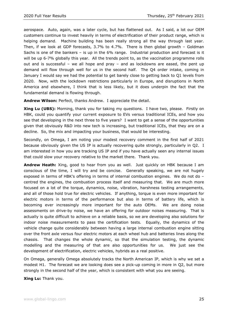aerospace. Auto, again, was a later cycle, but has flattened out. As I said, a lot our OEM customers continue to invest heavily in terms of electrification of their product range, which is helping demand. Machine building has been really strong all the way through last year. Then, if we look at GDP forecasts, 3.7% to 4.7%. There is then global growth – Goldman Sachs is one of the bankers – is up in the 6% range. Industrial production and forecast is it will be up 6-7% globally this year. All the trends point to, as the vaccination programme rolls out and is successful – we all hope and pray – and as lockdowns are eased, the pent up demand will flow through well for us in the second half. The Q4 order intake, coming in January I would say we had the potential to get barely close to getting back to Q1 levels from 2020. Now, with the lockdown restrictions particularly in Europe, and disruptions in North America and elsewhere, I think that is less likely, but it does underpin the fact that the fundamental demand is flowing through.

**Andrew Wilson:** Perfect, thanks Andrew. I appreciate the detail.

**Xing Lu (UBS):** Morning, thank you for taking my questions. I have two, please. Firstly on HBK, could you quantify your current exposure to EVs versus traditional ICEs, and how you see that developing in the next three to five years? I want to get a sense of the opportunities given that obviously R&D into new tech is increasing, but traditional ICEs, that they are on a decline. So, the mix and impacting your business, that would be interesting.

Secondly, on Omega, I am noting your modest recovery comment in the first half of 2021 because obviously given the US IP is actually recovering quite strongly, particularly in Q2. I am interested in how you are tracking US IP and if you have actually seen any internal issues that could slow your recovery relative to the market there. Thank you.

**Andrew Heath:** Xing, good to hear from you as well. Just quickly on HBK because I am conscious of the time, I will try and be concise. Generally speaking, we are not hugely exposed in terms of HBK's offering in terms of internal combustion engines. We do not do – centred the engines, the combustion process itself and measuring that. We are much more focused on a lot of the torque, dynamics, noise, vibration, harshness testing arrangements, and all of those hold true for electric vehicles. If anything, torque is even more important for electric motors in terms of the performance but also in terms of battery life, which is becoming ever increasingly more important for the auto OEMs. We are doing noise assessments on drive-by noise, we have an offering for outdoor noises measuring. That is actually is quite difficult to achieve on a reliable basis, so we are developing also solutions for indoor noise measurements to pass the certification tests. Equally, the dynamics of the vehicle change quite considerably between having a large internal combustion engine sitting over the front axle versus four electric motors at each wheel hub and batteries lines along the chassis. That changes the whole dynamic, so that the simulation testing, the dynamic modelling and the measuring of that are also opportunities for us. We just see the development of electrification, electric vehicles, hybrids as a real positive.

On Omega, generally Omega absolutely tracks the North American IP, which is why we set a modest H1. The forecast we are looking does see a pick-up coming in more in Q2, but more strongly in the second half of the year, which is consistent with what you are seeing.

**Xing Lu:** Thank you.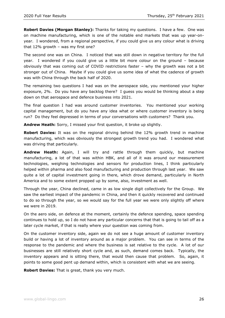**Robert Davies (Morgan Stanley):** Thanks for taking my questions. I have a few. One was on machine manufacturing, which is one of the notable end markets that was up year-onyear. I wondered, from a regional perspective, if you could give us any colour what is driving that 12% growth – was my first one?

The second one was on China. I noticed that was still down in negative territory for the full year. I wondered if you could give us a little bit more colour on the ground – because obviously that was coming out of COVID restrictions faster – why the growth was not a bit stronger out of China. Maybe if you could give us some idea of what the cadence of growth was with China through the back half of 2020.

The remaining two questions I had was on the aerospace side, you mentioned your higher exposure, 2%. Do you have any backlog there? I guess you would be thinking about a step down on that aerospace and defence business into 2021.

The final question I had was around customer inventories. You mentioned your working capital management, but do you have any idea what or where customer inventory is being run? Do they feel depressed in terms of your conversations with customers? Thank you.

**Andrew Heath:** Sorry, I missed your first question, it broke up slightly.

**Robert Davies:** It was on the regional driving behind the 12% growth trend in machine manufacturing, which was obviously the strongest growth trend you had. I wondered what was driving that particularly.

**Andrew Heath:** Again, I will try and rattle through them quickly, but machine manufacturing, a lot of that was within HBK, and all of it was around our measurement technologies, weighing technologies and sensors for production lines, I think particularly helped within pharma and also food manufacturing and production through last year. We saw quite a lot of capital investment going in there, which drove demand, particularly in North America and to some extent propped up by some, also, investment as well.

Through the year, China declined, came in as low single digit collectively for the Group. We saw the earliest impact of the pandemic in China, and then it quickly recovered and continued to do so through the year, so we would say for the full year we were only slightly off where we were in 2019.

On the aero side, on defence at the moment, certainly the defence spending, space spending continues to hold up, so I do not have any particular concerns that that is going to tail off as a later cycle market, if that is really where your question was coming from.

On the customer inventory side, again we do not see a huge amount of customer inventory build or having a lot of inventory around as a major problem. You can see in terms of the response to the pandemic and where the business is sat relative to the cycle. A lot of our businesses are still relatively short cycle and, as such, demand comes back. Typically, the inventory appears and is sitting there, that would then cause that problem. So, again, it points to some good pent up demand within, which is consistent with what we are seeing.

**Robert Davies:** That is great, thank you very much.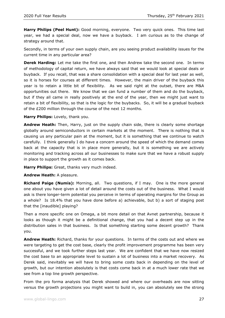**Harry Philips (Peel Hunt):** Good morning, everyone. Two very quick ones. This time last year, we had a special deal, now we have a buyback. I am curious as to the change of strategy around that.

Secondly, in terms of your own supply chain, are you seeing product availability issues for the current time in any particular area?

**Derek Harding:** Let me take the first one, and then Andrew take the second one. In terms of methodology of capital return, we have always said that we would look at special deals or buyback. If you recall, that was a share consolidation with a special deal for last year as well, so it is horses for courses at different times. However, the main driver of the buyback this year is to retain a little bit of flexibility. As we said right at the outset, there are M&A opportunities out there. We know that we can fund a number of them and do the buyback, but if they all came in really positively at the end of the year, then we might just want to retain a bit of flexibility, so that is the logic for the buybacks. So, it will be a gradual buyback of the £200 million through the course of the next 12 months.

#### **Harry Philips:** Lovely, thank you.

**Andrew Heath:** Then, Harry, just on the supply chain side, there is clearly some shortage globally around semiconductors in certain markets at the moment. There is nothing that is causing us any particular pain at the moment, but it is something that we continue to watch carefully. I think generally I do have a concern around the speed of which the demand comes back at the capacity that is in place more generally, but it is something we are actively monitoring and tracking across all our businesses to make sure that we have a robust supply in place to support the growth as it comes back.

**Harry Philips:** Great, thanks very much indeed.

#### **Andrew Heath:** A pleasure.

**Richard Paige (Numis):** Morning, all. Two questions, if I may. One is the more general one about you have given a lot of detail around the costs out of the business. What I would ask is there longer-term potential you perceive in terms of operating margins for the Group as a whole? Is 18.4% that you have done before a) achievable, but b) a sort of staging post that the [inaudible] playing?

Then a more specific one on Omega, a bit more detail on that Avnet partnership, because it looks as though it might be a definitional change, that you had a decent step up in the distribution sales in that business. Is that something starting some decent growth? Thank you.

**Andrew Heath:** Richard, thanks for your questions. In terms of the costs out and where we were targeting to get the cost base, clearly the profit improvement programme has been very successful, and we took further steps last year. We are confident that we have now resized the cost base to an appropriate level to sustain a lot of business into a market recovery. As Derek said, inevitably we will have to bring some costs back in depending on the level of growth, but our intention absolutely is that costs come back in at a much lower rate that we see from a top line growth perspective.

From the pro forma analysis that Derek showed and where our overheads are now sitting versus the growth projections you might want to build in, you can absolutely see the strong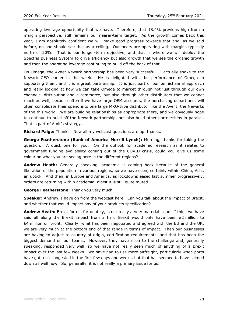operating leverage opportunity that we have. Therefore, that 18.4% previous high from a margin perspective, still remains our nearer-term target. As the growth comes back this year, I am absolutely confident we will make good progress towards that and, as we said before, no one should see that as a ceiling. Our peers are operating with margins typically north of 20%. That is our longer-term objective, and that is where we will deploy the Spectris Business System to drive efficiency but also growth that we see the organic growth and then the operating leverage continuing to build off the back of that.

On Omega, the Avnet-Newark partnership has been very successful. I actually spoke to the Newark CEO earlier in the week. He is delighted with the performance of Omega in supporting them, and it is a great partnership. It is just part of our omnichannel approach and really looking at how we can take Omega to market through not just through our own channels, distribution and e-commerce, but also through other distributors that we cannot reach as well, because often if we have large OEM accounts, the purchasing department will often consolidate their spend into one large MRO-type distributor like the Avent, the Newarks of the this world. We are building relationships as appropriate there, and we obviously hope to continue to build off the Newark partnership, but also build other partnerships in parallel. That is part of Amit's strategy.

**Richard Paige:** Thanks. Now all my webcast questions are up, thanks.

**George Featherstone (Bank of America Merrill Lynch):** Morning, thanks for taking the question. A quick one for you. On the outlook for academic research as it relates to government funding availability coming out of the COVID crisis, could you give us some colour on what you are seeing here in the different regions?

**Andrew Heath:** Generally speaking, academia is coming back because of the general liberation of the population in various regions, so we have seen, certainly within China, Asia, an uptick. And then, in Europe and America, as lockdowns eased last summer progressively, orders are returning within academia, albeit it is still quite muted.

**George Featherstone:** Thank you very much.

**Speaker:** Andrew, I have on from the webcast here. Can you talk about the impact of Brexit, and whether that would impact any of your products specification?

**Andrew Heath:** Brexit for us, fortunately, is not really a very material issue. I think we have said all along the Brexit impact from a hard Brexit would only have been  $£2$  million to £4 million on profit. Clearly, what has been negotiated and agreed with the EU and the UK, we are very much at the bottom end of that range in terms of impact. Then our businesses are having to adjust to country of origin, certification requirements, and that has been the biggest demand on our teams. However, they have risen to the challenge and, generally speaking, responded very well, so we have not really seen much of anything of a Brexit impact over the last few weeks. We have had to use more airfreight, particularly when ports have got a bit congested in the first few days and weeks, but that has seemed to have calmed down as well now. So, generally, it is not really a primary issue for us.